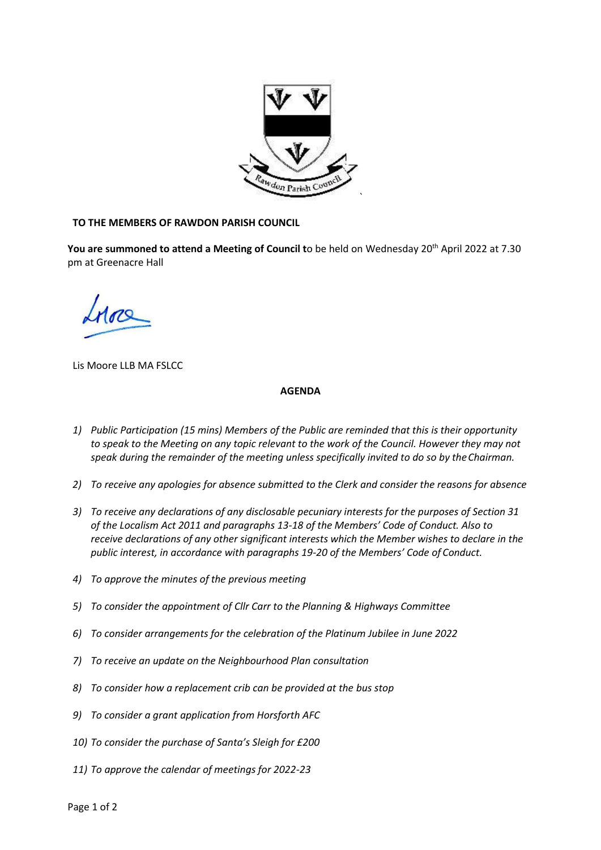

## **TO THE MEMBERS OF RAWDON PARISH COUNCIL**

You are summoned to attend a Meeting of Council to be held on Wednesday 20<sup>th</sup> April 2022 at 7.30 pm at Greenacre Hall

Lis Moore LLB MA FSLCC

## **AGENDA**

- *1) Public Participation (15 mins) Members of the Public are reminded that this is their opportunity to speak to the Meeting on any topic relevant to the work of the Council. However they may not speak during the remainder of the meeting unless specifically invited to do so by theChairman.*
- *2) To receive any apologies for absence submitted to the Clerk and consider the reasons for absence*
- *3) To receive any declarations of any disclosable pecuniary interests for the purposes of Section 31 of the Localism Act 2011 and paragraphs 13-18 of the Members' Code of Conduct. Also to receive declarations of any other significant interests which the Member wishes to declare in the public interest, in accordance with paragraphs 19-20 of the Members' Code of Conduct.*
- *4) To approve the minutes of the previous meeting*
- *5) To consider the appointment of Cllr Carr to the Planning & Highways Committee*
- *6) To consider arrangements for the celebration of the Platinum Jubilee in June 2022*
- *7) To receive an update on the Neighbourhood Plan consultation*
- *8) To consider how a replacement crib can be provided at the bus stop*
- *9) To consider a grant application from Horsforth AFC*
- *10) To consider the purchase of Santa's Sleigh for £200*
- *11) To approve the calendar of meetings for 2022-23*

Page 1 of 2